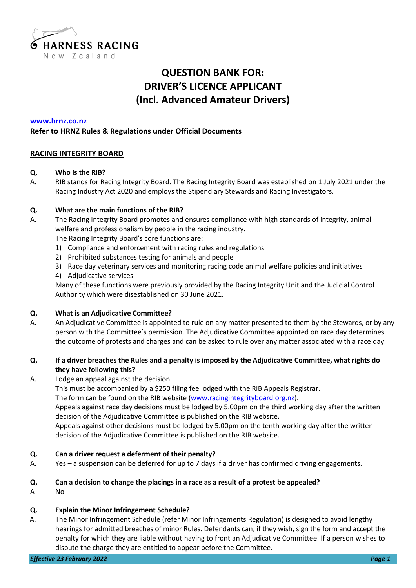

# **QUESTION BANK FOR: DRIVER'S LICENCE APPLICANT (Incl. Advanced Amateur Drivers)**

#### **[www.hrnz.co.nz](http://www.hrnz.co.nz/)**

## **Refer to HRNZ Rules & Regulations under Official Documents**

## **RACING INTEGRITY BOARD**

#### **Q. Who is the RIB?**

A. RIB stands for Racing Integrity Board. The Racing Integrity Board was established on 1 July 2021 under the Racing Industry Act 2020 and employs the Stipendiary Stewards and Racing Investigators.

## **Q. What are the main functions of the RIB?**

- A. The Racing Integrity Board promotes and ensures compliance with high standards of integrity, animal welfare and professionalism by people in the racing industry. The Racing Integrity Board's core functions are:
	- 1) Compliance and enforcement with racing rules and regulations
	- 2) Prohibited substances testing for animals and people
	- 3) Race day veterinary services and monitoring racing code animal welfare policies and initiatives
	- 4) Adjudicative services

Many of these functions were previously provided by the Racing Integrity Unit and the Judicial Control Authority which were disestablished on 30 June 2021.

#### **Q. What is an Adjudicative Committee?**

A. An Adjudicative Committee is appointed to rule on any matter presented to them by the Stewards, or by any person with the Committee's permission. The Adjudicative Committee appointed on race day determines the outcome of protests and charges and can be asked to rule over any matter associated with a race day.

## **Q. If a driver breaches the Rules and a penalty is imposed by the Adjudicative Committee, what rights do they have following this?**

A. Lodge an appeal against the decision.

This must be accompanied by a \$250 filing fee lodged with the RIB Appeals Registrar.

The form can be found on the RIB website [\(www.racingintegrityboard.org.nz\)](http://www.racingintegrityboard.org.nz/).

Appeals against race day decisions must be lodged by 5.00pm on the third working day after the written decision of the Adjudicative Committee is published on the RIB website.

Appeals against other decisions must be lodged by 5.00pm on the tenth working day after the written decision of the Adjudicative Committee is published on the RIB website.

#### **Q. Can a driver request a deferment of their penalty?**

A. Yes – a suspension can be deferred for up to 7 days if a driver has confirmed driving engagements.

#### **Q. Can a decision to change the placings in a race as a result of a protest be appealed?**

A No

# **Q. Explain the Minor Infringement Schedule?**

A. The Minor Infringement Schedule (refer Minor Infringements Regulation) is designed to avoid lengthy hearings for admitted breaches of minor Rules. Defendants can, if they wish, sign the form and accept the penalty for which they are liable without having to front an Adjudicative Committee. If a person wishes to dispute the charge they are entitled to appear before the Committee.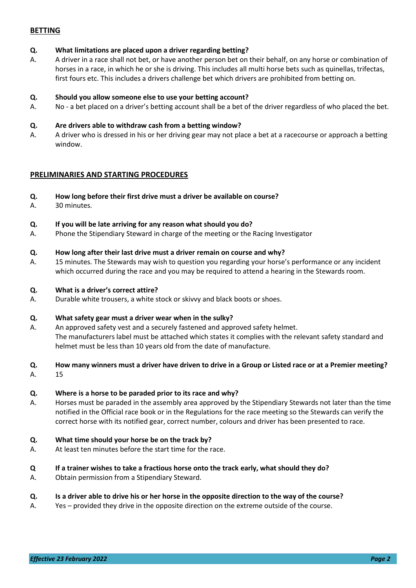## **BETTING**

#### **Q. What limitations are placed upon a driver regarding betting?**

A. A driver in a race shall not bet, or have another person bet on their behalf, on any horse or combination of horses in a race, in which he or she is driving. This includes all multi horse bets such as quinellas, trifectas, first fours etc. This includes a drivers challenge bet which drivers are prohibited from betting on.

#### **Q. Should you allow someone else to use your betting account?**

A. No - a bet placed on a driver's betting account shall be a bet of the driver regardless of who placed the bet.

#### **Q. Are drivers able to withdraw cash from a betting window?**

A. A driver who is dressed in his or her driving gear may not place a bet at a racecourse or approach a betting window.

## **PRELIMINARIES AND STARTING PROCEDURES**

- **Q. How long before their first drive must a driver be available on course?**
- A. 30 minutes.

#### **Q. If you will be late arriving for any reason what should you do?**

A. Phone the Stipendiary Steward in charge of the meeting or the Racing Investigator

#### **Q. How long after their last drive must a driver remain on course and why?**

A. 15 minutes. The Stewards may wish to question you regarding your horse's performance or any incident which occurred during the race and you may be required to attend a hearing in the Stewards room.

#### **Q. What is a driver's correct attire?**

A. Durable white trousers, a white stock or skivvy and black boots or shoes.

#### **Q. What safety gear must a driver wear when in the sulky?**

A. An approved safety vest and a securely fastened and approved safety helmet. The manufacturers label must be attached which states it complies with the relevant safety standard and helmet must be less than 10 years old from the date of manufacture.

#### **Q. How many winners must a driver have driven to drive in a Group or Listed race or at a Premier meeting?**

A. 15

#### **Q. Where is a horse to be paraded prior to its race and why?**

A. Horses must be paraded in the assembly area approved by the Stipendiary Stewards not later than the time notified in the Official race book or in the Regulations for the race meeting so the Stewards can verify the correct horse with its notified gear, correct number, colours and driver has been presented to race.

#### **Q. What time should your horse be on the track by?**

A. At least ten minutes before the start time for the race.

#### **Q If a trainer wishes to take a fractious horse onto the track early, what should they do?**

A. Obtain permission from a Stipendiary Steward.

#### **Q. Is a driver able to drive his or her horse in the opposite direction to the way of the course?**

A. Yes – provided they drive in the opposite direction on the extreme outside of the course.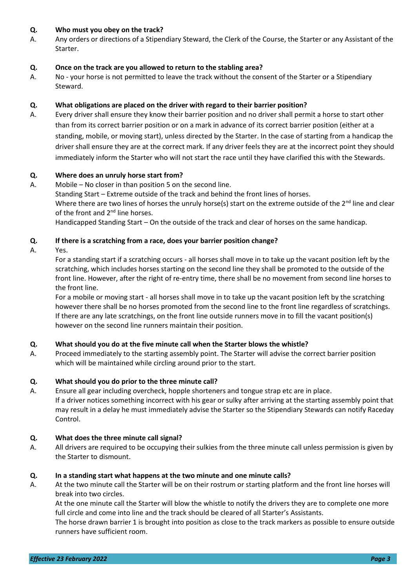## **Q. Who must you obey on the track?**

A. Any orders or directions of a Stipendiary Steward, the Clerk of the Course, the Starter or any Assistant of the Starter.

## **Q. Once on the track are you allowed to return to the stabling area?**

A. No - your horse is not permitted to leave the track without the consent of the Starter or a Stipendiary Steward.

## **Q. What obligations are placed on the driver with regard to their barrier position?**

A. Every driver shall ensure they know their barrier position and no driver shall permit a horse to start other than from its correct barrier position or on a mark in advance of its correct barrier position (either at a standing, mobile, or moving start), unless directed by the Starter. In the case of starting from a handicap the driver shall ensure they are at the correct mark. If any driver feels they are at the incorrect point they should immediately inform the Starter who will not start the race until they have clarified this with the Stewards.

## **Q. Where does an unruly horse start from?**

A. Mobile – No closer in than position 5 on the second line.

Standing Start – Extreme outside of the track and behind the front lines of horses. Where there are two lines of horses the unruly horse(s) start on the extreme outside of the  $2^{nd}$  line and clear of the front and 2<sup>nd</sup> line horses.

Handicapped Standing Start – On the outside of the track and clear of horses on the same handicap.

## **Q. If there is a scratching from a race, does your barrier position change?**

A. Yes.

For a standing start if a scratching occurs - all horses shall move in to take up the vacant position left by the scratching, which includes horses starting on the second line they shall be promoted to the outside of the front line. However, after the right of re-entry time, there shall be no movement from second line horses to the front line.

For a mobile or moving start - all horses shall move in to take up the vacant position left by the scratching however there shall be no horses promoted from the second line to the front line regardless of scratchings. If there are any late scratchings, on the front line outside runners move in to fill the vacant position(s) however on the second line runners maintain their position.

#### **Q. What should you do at the five minute call when the Starter blows the whistle?**

A. Proceed immediately to the starting assembly point. The Starter will advise the correct barrier position which will be maintained while circling around prior to the start.

#### **Q. What should you do prior to the three minute call?**

A. Ensure all gear including overcheck, hopple shorteners and tongue strap etc are in place. If a driver notices something incorrect with his gear or sulky after arriving at the starting assembly point that may result in a delay he must immediately advise the Starter so the Stipendiary Stewards can notify Raceday Control.

#### **Q. What does the three minute call signal?**

A. All drivers are required to be occupying their sulkies from the three minute call unless permission is given by the Starter to dismount.

#### **Q. In a standing start what happens at the two minute and one minute calls?**

A. At the two minute call the Starter will be on their rostrum or starting platform and the front line horses will break into two circles.

At the one minute call the Starter will blow the whistle to notify the drivers they are to complete one more full circle and come into line and the track should be cleared of all Starter's Assistants.

The horse drawn barrier 1 is brought into position as close to the track markers as possible to ensure outside runners have sufficient room.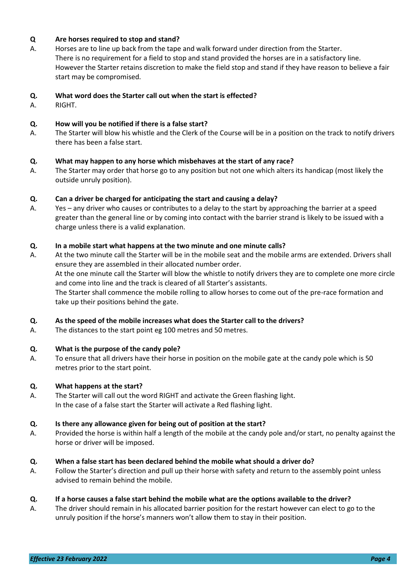## **Q Are horses required to stop and stand?**

A. Horses are to line up back from the tape and walk forward under direction from the Starter. There is no requirement for a field to stop and stand provided the horses are in a satisfactory line. However the Starter retains discretion to make the field stop and stand if they have reason to believe a fair start may be compromised.

## **Q. What word does the Starter call out when the start is effected?**

A. RIGHT.

## **Q. How will you be notified if there is a false start?**

A. The Starter will blow his whistle and the Clerk of the Course will be in a position on the track to notify drivers there has been a false start.

## **Q. What may happen to any horse which misbehaves at the start of any race?**

A. The Starter may order that horse go to any position but not one which alters its handicap (most likely the outside unruly position).

## **Q. Can a driver be charged for anticipating the start and causing a delay?**

A. Yes – any driver who causes or contributes to a delay to the start by approaching the barrier at a speed greater than the general line or by coming into contact with the barrier strand is likely to be issued with a charge unless there is a valid explanation.

## **Q. In a mobile start what happens at the two minute and one minute calls?**

A. At the two minute call the Starter will be in the mobile seat and the mobile arms are extended. Drivers shall ensure they are assembled in their allocated number order. At the one minute call the Starter will blow the whistle to notify drivers they are to complete one more circle and come into line and the track is cleared of all Starter's assistants. The Starter shall commence the mobile rolling to allow horses to come out of the pre-race formation and take up their positions behind the gate.

#### **Q. As the speed of the mobile increases what does the Starter call to the drivers?**

A. The distances to the start point eg 100 metres and 50 metres.

#### **Q. What is the purpose of the candy pole?**

A. To ensure that all drivers have their horse in position on the mobile gate at the candy pole which is 50 metres prior to the start point.

#### **Q. What happens at the start?**

A. The Starter will call out the word RIGHT and activate the Green flashing light. In the case of a false start the Starter will activate a Red flashing light.

#### **Q. Is there any allowance given for being out of position at the start?**

A. Provided the horse is within half a length of the mobile at the candy pole and/or start, no penalty against the horse or driver will be imposed.

#### **Q. When a false start has been declared behind the mobile what should a driver do?**

A. Follow the Starter's direction and pull up their horse with safety and return to the assembly point unless advised to remain behind the mobile.

#### **Q. If a horse causes a false start behind the mobile what are the options available to the driver?**

A. The driver should remain in his allocated barrier position for the restart however can elect to go to the unruly position if the horse's manners won't allow them to stay in their position.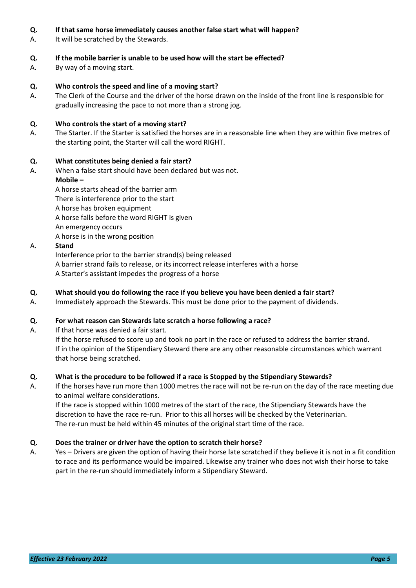## **Q. If that same horse immediately causes another false start what will happen?**

A. It will be scratched by the Stewards.

## **Q. If the mobile barrier is unable to be used how will the start be effected?**

A. By way of a moving start.

## **Q. Who controls the speed and line of a moving start?**

A. The Clerk of the Course and the driver of the horse drawn on the inside of the front line is responsible for gradually increasing the pace to not more than a strong jog.

## **Q. Who controls the start of a moving start?**

A. The Starter. If the Starter is satisfied the horses are in a reasonable line when they are within five metres of the starting point, the Starter will call the word RIGHT.

#### **Q. What constitutes being denied a fair start?**

A. When a false start should have been declared but was not. **Mobile –**

A horse starts ahead of the barrier arm There is interference prior to the start A horse has broken equipment A horse falls before the word RIGHT is given An emergency occurs A horse is in the wrong position

#### A. **Stand**

Interference prior to the barrier strand(s) being released A barrier strand fails to release, or its incorrect release interferes with a horse A Starter's assistant impedes the progress of a horse

## **Q. What should you do following the race if you believe you have been denied a fair start?**

A. Immediately approach the Stewards. This must be done prior to the payment of dividends.

#### **Q. For what reason can Stewards late scratch a horse following a race?**

A. If that horse was denied a fair start.

If the horse refused to score up and took no part in the race or refused to address the barrier strand. If in the opinion of the Stipendiary Steward there are any other reasonable circumstances which warrant that horse being scratched.

#### **Q. What is the procedure to be followed if a race is Stopped by the Stipendiary Stewards?**

A. If the horses have run more than 1000 metres the race will not be re-run on the day of the race meeting due to animal welfare considerations.

If the race is stopped within 1000 metres of the start of the race, the Stipendiary Stewards have the discretion to have the race re-run. Prior to this all horses will be checked by the Veterinarian. The re-run must be held within 45 minutes of the original start time of the race.

#### **Q. Does the trainer or driver have the option to scratch their horse?**

A. Yes – Drivers are given the option of having their horse late scratched if they believe it is not in a fit condition to race and its performance would be impaired. Likewise any trainer who does not wish their horse to take part in the re-run should immediately inform a Stipendiary Steward.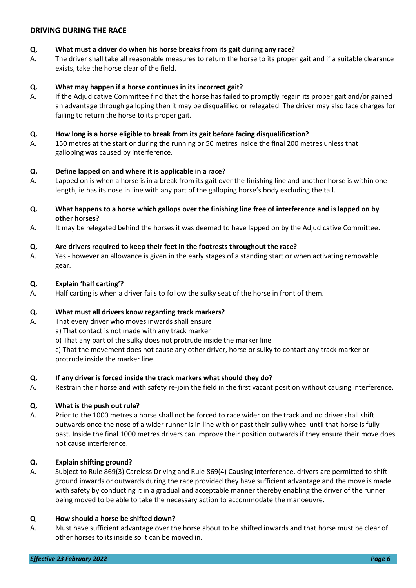## **DRIVING DURING THE RACE**

## **Q. What must a driver do when his horse breaks from its gait during any race?**

A. The driver shall take all reasonable measures to return the horse to its proper gait and if a suitable clearance exists, take the horse clear of the field.

## **Q. What may happen if a horse continues in its incorrect gait?**

A. If the Adjudicative Committee find that the horse has failed to promptly regain its proper gait and/or gained an advantage through galloping then it may be disqualified or relegated. The driver may also face charges for failing to return the horse to its proper gait.

## **Q. How long is a horse eligible to break from its gait before facing disqualification?**

A. 150 metres at the start or during the running or 50 metres inside the final 200 metres unless that galloping was caused by interference.

## **Q. Define lapped on and where it is applicable in a race?**

- A. Lapped on is when a horse is in a break from its gait over the finishing line and another horse is within one length, ie has its nose in line with any part of the galloping horse's body excluding the tail.
- **Q. What happens to a horse which gallops over the finishing line free of interference and is lapped on by other horses?**
- A. It may be relegated behind the horses it was deemed to have lapped on by the Adjudicative Committee.

## **Q. Are drivers required to keep their feet in the footrests throughout the race?**

A. Yes - however an allowance is given in the early stages of a standing start or when activating removable gear.

#### **Q. Explain 'half carting'?**

A. Half carting is when a driver fails to follow the sulky seat of the horse in front of them.

#### **Q. What must all drivers know regarding track markers?**

- A. That every driver who moves inwards shall ensure
	- a) That contact is not made with any track marker
	- b) That any part of the sulky does not protrude inside the marker line

c) That the movement does not cause any other driver, horse or sulky to contact any track marker or protrude inside the marker line.

#### **Q. If any driver is forced inside the track markers what should they do?**

A. Restrain their horse and with safety re-join the field in the first vacant position without causing interference.

#### **Q. What is the push out rule?**

A. Prior to the 1000 metres a horse shall not be forced to race wider on the track and no driver shall shift outwards once the nose of a wider runner is in line with or past their sulky wheel until that horse is fully past. Inside the final 1000 metres drivers can improve their position outwards if they ensure their move does not cause interference.

#### **Q. Explain shifting ground?**

A. Subject to Rule 869(3) Careless Driving and Rule 869(4) Causing Interference, drivers are permitted to shift ground inwards or outwards during the race provided they have sufficient advantage and the move is made with safety by conducting it in a gradual and acceptable manner thereby enabling the driver of the runner being moved to be able to take the necessary action to accommodate the manoeuvre.

#### **Q How should a horse be shifted down?**

A. Must have sufficient advantage over the horse about to be shifted inwards and that horse must be clear of other horses to its inside so it can be moved in.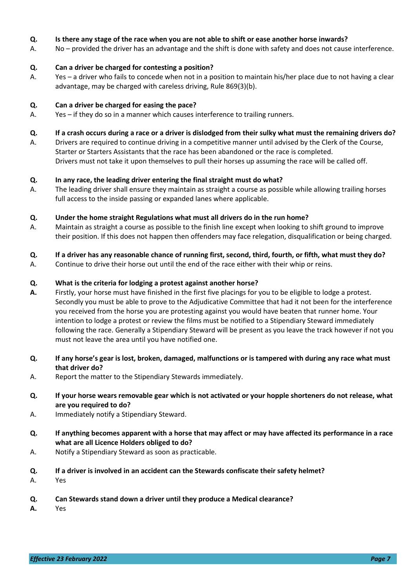## **Q. Is there any stage of the race when you are not able to shift or ease another horse inwards?**

A. No – provided the driver has an advantage and the shift is done with safety and does not cause interference.

## **Q. Can a driver be charged for contesting a position?**

A. Yes – a driver who fails to concede when not in a position to maintain his/her place due to not having a clear advantage, may be charged with careless driving, Rule 869(3)(b).

## **Q. Can a driver be charged for easing the pace?**

A. Yes – if they do so in a manner which causes interference to trailing runners.

## **Q. If a crash occurs during a race or a driver is dislodged from their sulky what must the remaining drivers do?**

A. Drivers are required to continue driving in a competitive manner until advised by the Clerk of the Course, Starter or Starters Assistants that the race has been abandoned or the race is completed. Drivers must not take it upon themselves to pull their horses up assuming the race will be called off.

## **Q. In any race, the leading driver entering the final straight must do what?**

A. The leading driver shall ensure they maintain as straight a course as possible while allowing trailing horses full access to the inside passing or expanded lanes where applicable.

## **Q. Under the home straight Regulations what must all drivers do in the run home?**

- A. Maintain as straight a course as possible to the finish line except when looking to shift ground to improve their position. If this does not happen then offenders may face relegation, disqualification or being charged.
- **Q. If a driver has any reasonable chance of running first, second, third, fourth, or fifth, what must they do?**
- A. Continue to drive their horse out until the end of the race either with their whip or reins.

## **Q. What is the criteria for lodging a protest against another horse?**

- **A.** Firstly, your horse must have finished in the first five placings for you to be eligible to lodge a protest. Secondly you must be able to prove to the Adjudicative Committee that had it not been for the interference you received from the horse you are protesting against you would have beaten that runner home. Your intention to lodge a protest or review the films must be notified to a Stipendiary Steward immediately following the race. Generally a Stipendiary Steward will be present as you leave the track however if not you must not leave the area until you have notified one.
- **Q. If any horse's gear is lost, broken, damaged, malfunctions or is tampered with during any race what must that driver do?**
- A. Report the matter to the Stipendiary Stewards immediately.
- **Q. If your horse wears removable gear which is not activated or your hopple shorteners do not release, what are you required to do?**
- A. Immediately notify a Stipendiary Steward.
- **Q. If anything becomes apparent with a horse that may affect or may have affected its performance in a race what are all Licence Holders obliged to do?**
- A. Notify a Stipendiary Steward as soon as practicable.
- **Q. If a driver is involved in an accident can the Stewards confiscate their safety helmet?**
- A. Yes
- **Q. Can Stewards stand down a driver until they produce a Medical clearance?**
- **A.** Yes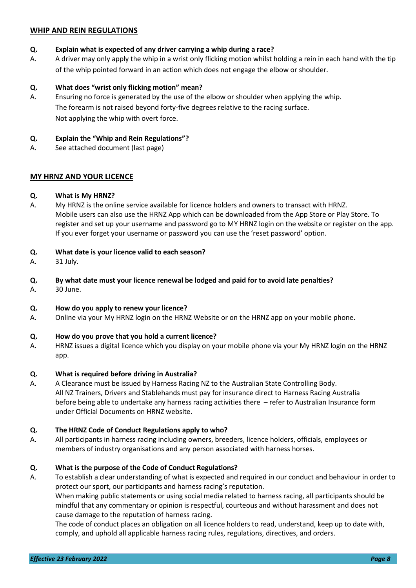## **WHIP AND REIN REGULATIONS**

## **Q. Explain what is expected of any driver carrying a whip during a race?**

A. A driver may only apply the whip in a wrist only flicking motion whilst holding a rein in each hand with the tip of the whip pointed forward in an action which does not engage the elbow or shoulder.

## **Q. What does "wrist only flicking motion" mean?**

A. Ensuring no force is generated by the use of the elbow or shoulder when applying the whip. The forearm is not raised beyond forty-five degrees relative to the racing surface. Not applying the whip with overt force.

## **Q. Explain the "Whip and Rein Regulations"?**

A. See attached document (last page)

## **MY HRNZ AND YOUR LICENCE**

#### **Q. What is My HRNZ?**

A. My HRNZ is the online service available for licence holders and owners to transact with HRNZ. Mobile users can also use the HRNZ App which can be downloaded from the App Store or Play Store. To register and set up your username and password go to MY HRNZ login on the website or register on the app. If you ever forget your username or password you can use the 'reset password' option.

## **Q. What date is your licence valid to each season?**

A. 31 July.

## **Q. By what date must your licence renewal be lodged and paid for to avoid late penalties?**

A. 30 June.

#### **Q. How do you apply to renew your licence?**

A. Online via your My HRNZ login on the HRNZ Website or on the HRNZ app on your mobile phone.

#### **Q. How do you prove that you hold a current licence?**

A. HRNZ issues a digital licence which you display on your mobile phone via your My HRNZ login on the HRNZ app.

#### **Q. What is required before driving in Australia?**

A. A Clearance must be issued by Harness Racing NZ to the Australian State Controlling Body. All NZ Trainers, Drivers and Stablehands must pay for insurance direct to Harness Racing Australia before being able to undertake any harness racing activities there – refer to Australian Insurance form under Official Documents on HRNZ website.

#### **Q. The HRNZ Code of Conduct Regulations apply to who?**

A. All participants in harness racing including owners, breeders, licence holders, officials, employees or members of industry organisations and any person associated with harness horses.

## **Q. What is the purpose of the Code of Conduct Regulations?**

A. To establish a clear understanding of what is expected and required in our conduct and behaviour in order to protect our sport, our participants and harness racing's reputation.

When making public statements or using social media related to harness racing, all participants should be mindful that any commentary or opinion is respectful, courteous and without harassment and does not cause damage to the reputation of harness racing.

The code of conduct places an obligation on all licence holders to read, understand, keep up to date with, comply, and uphold all applicable harness racing rules, regulations, directives, and orders.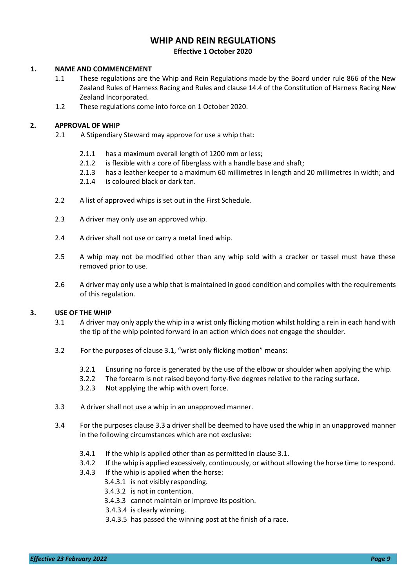## **WHIP AND REIN REGULATIONS Effective 1 October 2020**

#### **1. NAME AND COMMENCEMENT**

- 1.1 These regulations are the Whip and Rein Regulations made by the Board under rule 866 of the New Zealand Rules of Harness Racing and Rules and clause 14.4 of the Constitution of Harness Racing New Zealand Incorporated.
- 1.2 These regulations come into force on 1 October 2020.

#### **2. APPROVAL OF WHIP**

- 2.1 A Stipendiary Steward may approve for use a whip that:
	- 2.1.1 has a maximum overall length of 1200 mm or less;
	- 2.1.2 is flexible with a core of fiberglass with a handle base and shaft;
	- 2.1.3 has a leather keeper to a maximum 60 millimetres in length and 20 millimetres in width; and
	- 2.1.4 is coloured black or dark tan.
- 2.2 A list of approved whips is set out in the First Schedule.
- 2.3 A driver may only use an approved whip.
- 2.4 A driver shall not use or carry a metal lined whip.
- 2.5 A whip may not be modified other than any whip sold with a cracker or tassel must have these removed prior to use.
- 2.6 A driver may only use a whip that is maintained in good condition and complies with the requirements of this regulation.

#### **3. USE OF THE WHIP**

- 3.1 A driver may only apply the whip in a wrist only flicking motion whilst holding a rein in each hand with the tip of the whip pointed forward in an action which does not engage the shoulder.
- 3.2 For the purposes of clause 3.1, "wrist only flicking motion" means:
	- 3.2.1 Ensuring no force is generated by the use of the elbow or shoulder when applying the whip.
	- 3.2.2 The forearm is not raised beyond forty-five degrees relative to the racing surface.
	- 3.2.3 Not applying the whip with overt force.
- 3.3 A driver shall not use a whip in an unapproved manner.
- 3.4 For the purposes clause 3.3 a driver shall be deemed to have used the whip in an unapproved manner in the following circumstances which are not exclusive:
	- 3.4.1 If the whip is applied other than as permitted in clause 3.1.
	- 3.4.2 If the whip is applied excessively, continuously, or without allowing the horse time to respond.
	- 3.4.3 If the whip is applied when the horse:
		- 3.4.3.1 is not visibly responding.
			- 3.4.3.2 is not in contention.
			- 3.4.3.3 cannot maintain or improve its position.
			- 3.4.3.4 is clearly winning.
			- 3.4.3.5 has passed the winning post at the finish of a race.